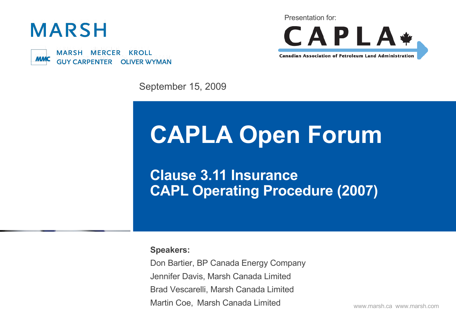



Presentation for:



**Canadian Association of Petroleum Land Administration** 

September 15, 2009

# **CAPLA Open Forum**

**Clause 3.11 Insurance CAPL Operating Procedure (2007)**

**Speakers:**

Don Bartier, BP Canada Energy Company Jennifer Davis, Marsh Canada Limited Brad Vescarelli, Marsh Canada Limited Martin Coe, Marsh Canada Limited

www.marsh.ca www.marsh.com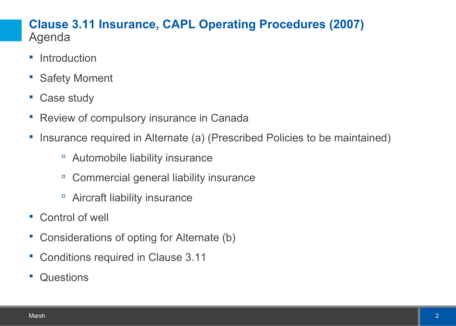# **Clause 3.11 Insurance, CAPL Operating Procedures (2007)** Agenda

- **-** Introduction
- **Safety Moment**
- Case study
- Review of compulsory insurance in Canada
- Insurance required in Alternate (a) (Prescribed Policies to be maintained)
	- Automobile liability insurance
	- □ Commercial general liability insurance
	- Aircraft liability insurance
- Control of well
- Considerations of opting for Alternate (b)
- Conditions required in Clause 3.11
- **Questions**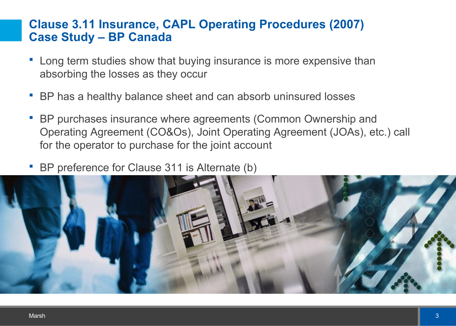# **Clause 3.11 Insurance, CAPL Operating Procedures (2007) Case Study – BP Canada**

- Long term studies show that buying insurance is more expensive than absorbing the losses as they occur
- BP has a healthy balance sheet and can absorb uninsured losses
- BP purchases insurance where agreements (Common Ownership and Operating Agreement (CO&Os), Joint Operating Agreement (JOAs), etc.) call for the operator to purchase for the joint account
- BP preference for Clause 311 is Alternate (b)

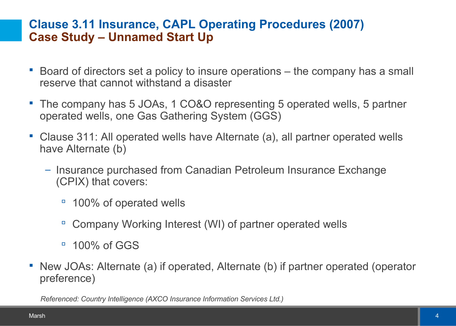# **Clause 3.11 Insurance, CAPL Operating Procedures (2007) Case Study – Unnamed Start Up**

- Board of directors set a policy to insure operations the company has a small reserve that cannot withstand a disaster
- The company has 5 JOAs, 1 CO&O representing 5 operated wells, 5 partner operated wells, one Gas Gathering System (GGS)
- Clause 311: All operated wells have Alternate (a), all partner operated wells have Alternate (b)
	- Insurance purchased from Canadian Petroleum Insurance Exchange (CPIX) that covers:
		- <sup>o</sup> 100% of operated wells
		- □ Company Working Interest (WI) of partner operated wells
		- $\overline{9}$  100% of GGS
- New JOAs: Alternate (a) if operated, Alternate (b) if partner operated (operator preference)

*Referenced: Country Intelligence (AXCO Insurance Information Services Ltd.)*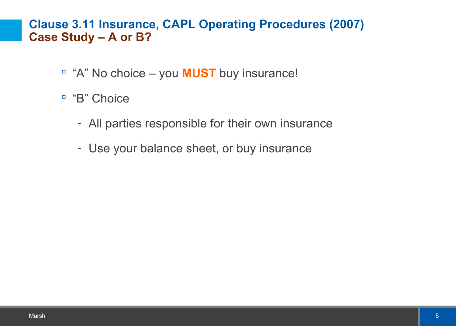### **Clause 3.11 Insurance, CAPL Operating Procedures (2007) Case Study – A or B?**

- <sup>"</sup> "A" No choice you **MUST** buy insurance!
- <sup>"</sup>B" Choice
	- All parties responsible for their own insurance
	- Use your balance sheet, or buy insurance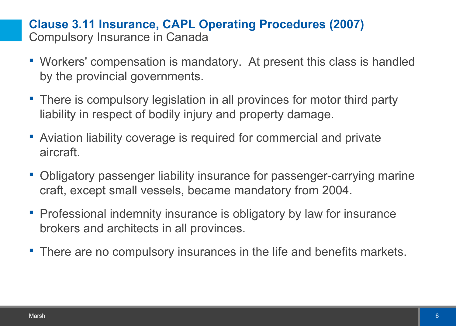# **Clause 3.11 Insurance, CAPL Operating Procedures (2007)** Compulsory Insurance in Canada

- Workers' compensation is mandatory. At present this class is handled by the provincial governments.
- There is compulsory legislation in all provinces for motor third party liability in respect of bodily injury and property damage.
- Aviation liability coverage is required for commercial and private aircraft.
- Obligatory passenger liability insurance for passenger-carrying marine craft, except small vessels, became mandatory from 2004.
- **Professional indemnity insurance is obligatory by law for insurance** brokers and architects in all provinces.
- **There are no compulsory insurances in the life and benefits markets.**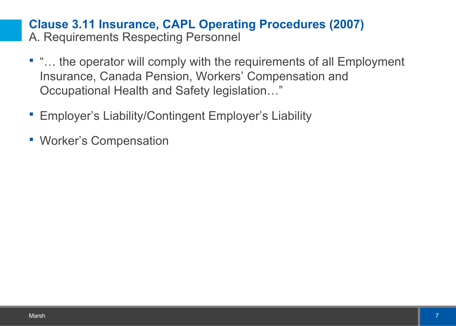### **Clause 3.11 Insurance, CAPL Operating Procedures (2007)** A. Requirements Respecting Personnel

- "… the operator will comply with the requirements of all Employment Insurance, Canada Pension, Workers' Compensation and Occupational Health and Safety legislation…"
- **Employer's Liability/Contingent Employer's Liability**
- Worker's Compensation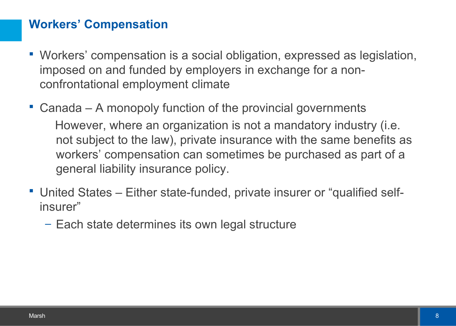# **Workers' Compensation**

- Workers' compensation is a social obligation, expressed as legislation, imposed on and funded by employers in exchange for a nonconfrontational employment climate
- Canada A monopoly function of the provincial governments However, where an organization is not a mandatory industry (i.e. not subject to the law), private insurance with the same benefits as workers' compensation can sometimes be purchased as part of a general liability insurance policy.
- United States Either state-funded, private insurer or "qualified selfinsurer"
	- Each state determines its own legal structure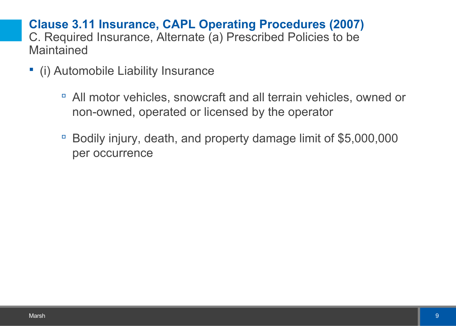# **Clause 3.11 Insurance, CAPL Operating Procedures (2007)** C. Required Insurance, Alternate (a) Prescribed Policies to be **Maintained**

- (i) Automobile Liability Insurance
	- All motor vehicles, snowcraft and all terrain vehicles, owned or non-owned, operated or licensed by the operator
	- Bodily injury, death, and property damage limit of \$5,000,000 per occurrence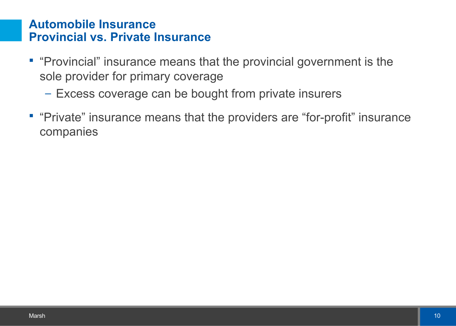#### **Automobile Insurance Provincial vs. Private Insurance**

- **"Provincial" insurance means that the provincial government is the** sole provider for primary coverage
	- Excess coverage can be bought from private insurers
- **"Private" insurance means that the providers are "for-profit" insurance** companies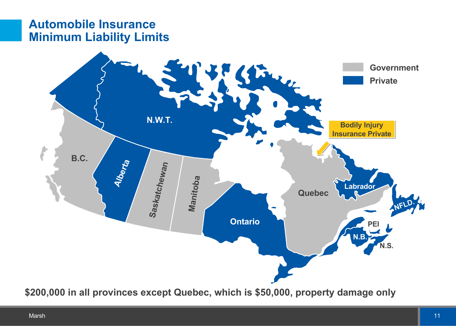## **Automobile Insurance Minimum Liability Limits**



**\$200,000 in all provinces except Quebec, which is \$50,000, property damage only**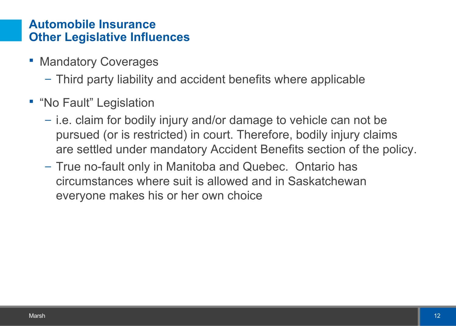# **Automobile Insurance Other Legislative Influences**

- Mandatory Coverages
	- Third party liability and accident benefits where applicable
- **"No Fault" Legislation** 
	- i.e. claim for bodily injury and/or damage to vehicle can not be pursued (or is restricted) in court. Therefore, bodily injury claims are settled under mandatory Accident Benefits section of the policy.
	- True no-fault only in Manitoba and Quebec. Ontario has circumstances where suit is allowed and in Saskatchewan everyone makes his or her own choice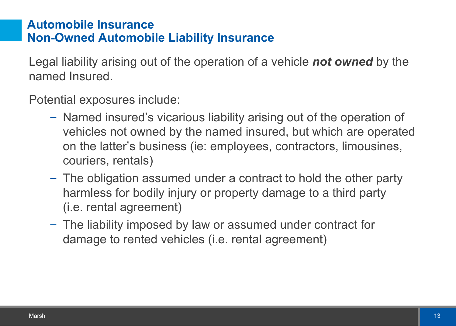# **Automobile Insurance Non-Owned Automobile Liability Insurance**

Legal liability arising out of the operation of a vehicle *not owned* by the named Insured.

Potential exposures include:

- Named insured's vicarious liability arising out of the operation of vehicles not owned by the named insured, but which are operated on the latter's business (ie: employees, contractors, limousines, couriers, rentals)
- The obligation assumed under a contract to hold the other party harmless for bodily injury or property damage to a third party (i.e. rental agreement)
- The liability imposed by law or assumed under contract for damage to rented vehicles (i.e. rental agreement)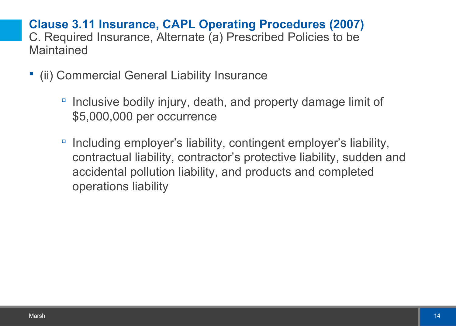# **Clause 3.11 Insurance, CAPL Operating Procedures (2007)** C. Required Insurance, Alternate (a) Prescribed Policies to be **Maintained**

- (ii) Commercial General Liability Insurance
	- Inclusive bodily injury, death, and property damage limit of \$5,000,000 per occurrence
	- Including employer's liability, contingent employer's liability, contractual liability, contractor's protective liability, sudden and accidental pollution liability, and products and completed operations liability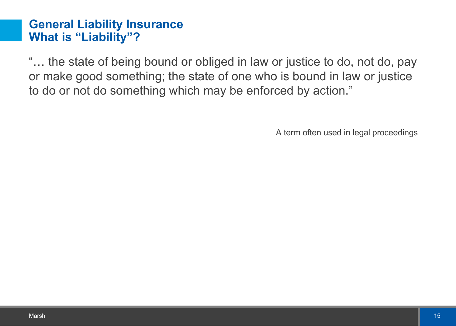#### **General Liability Insurance What is "Liability"?**

"… the state of being bound or obliged in law or justice to do, not do, pay or make good something; the state of one who is bound in law or justice to do or not do something which may be enforced by action."

A term often used in legal proceedings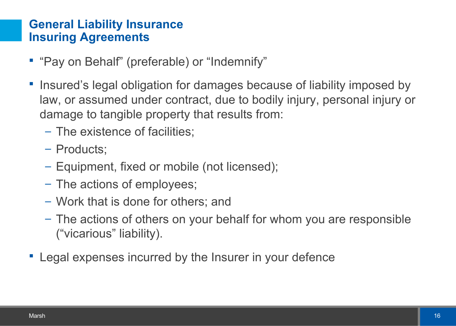# **General Liability Insurance Insuring Agreements**

- "Pay on Behalf" (preferable) or "Indemnify"
- **Insured's legal obligation for damages because of liability imposed by** law, or assumed under contract, due to bodily injury, personal injury or damage to tangible property that results from:
	- The existence of facilities;
	- Products;
	- Equipment, fixed or mobile (not licensed);
	- The actions of employees;
	- Work that is done for others; and
	- The actions of others on your behalf for whom you are responsible ("vicarious" liability).
- Legal expenses incurred by the Insurer in your defence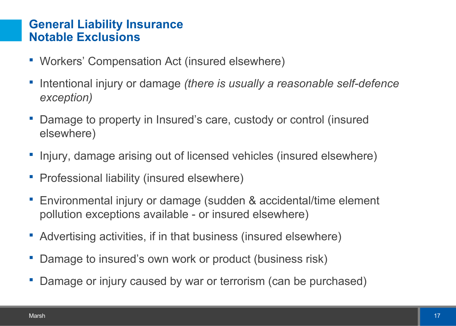### **General Liability Insurance Notable Exclusions**

- Workers' Compensation Act (insured elsewhere)
- Intentional injury or damage *(there is usually a reasonable self-defence exception)*
- Damage to property in Insured's care, custody or control (insured elsewhere)
- **-** Injury, damage arising out of licensed vehicles (insured elsewhere)
- **Professional liability (insured elsewhere)**
- Environmental injury or damage (sudden & accidental/time element pollution exceptions available - or insured elsewhere)
- Advertising activities, if in that business (insured elsewhere)
- **Damage to insured's own work or product (business risk)**
- **-** Damage or injury caused by war or terrorism (can be purchased)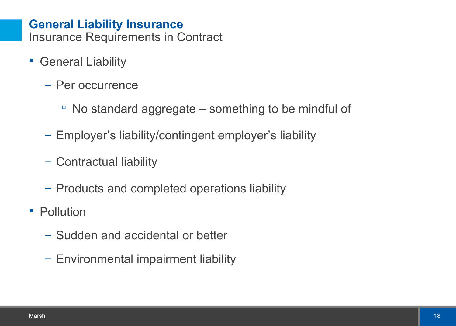#### **General Liability Insurance**  Insurance Requirements in Contract

- General Liability
	- Per occurrence
		- $\overline{\phantom{a}}$  No standard aggregate something to be mindful of
	- Employer's liability/contingent employer's liability
	- Contractual liability
	- Products and completed operations liability
- **Pollution** 
	- Sudden and accidental or better
	- Environmental impairment liability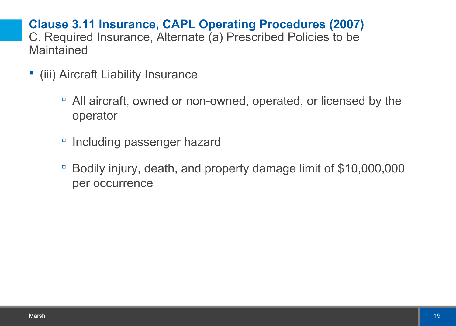**Clause 3.11 Insurance, CAPL Operating Procedures (2007)** C. Required Insurance, Alternate (a) Prescribed Policies to be **Maintained** 

- (iii) Aircraft Liability Insurance
	- All aircraft, owned or non-owned, operated, or licensed by the operator
	- Including passenger hazard
	- Bodily injury, death, and property damage limit of \$10,000,000 per occurrence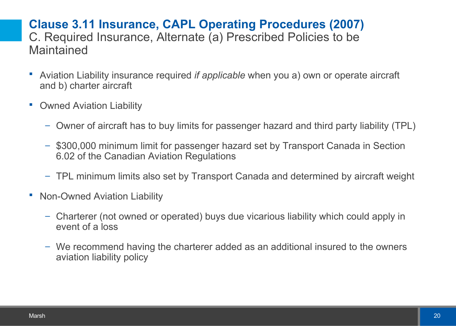# **Clause 3.11 Insurance, CAPL Operating Procedures (2007)** C. Required Insurance, Alternate (a) Prescribed Policies to be **Maintained**

- Aviation Liability insurance required *if applicable* when you a) own or operate aircraft and b) charter aircraft
- **Owned Aviation Liability** 
	- Owner of aircraft has to buy limits for passenger hazard and third party liability (TPL)
	- \$300,000 minimum limit for passenger hazard set by Transport Canada in Section 6.02 of the Canadian Aviation Regulations
	- TPL minimum limits also set by Transport Canada and determined by aircraft weight
- **Non-Owned Aviation Liability** 
	- Charterer (not owned or operated) buys due vicarious liability which could apply in event of a loss
	- We recommend having the charterer added as an additional insured to the owners aviation liability policy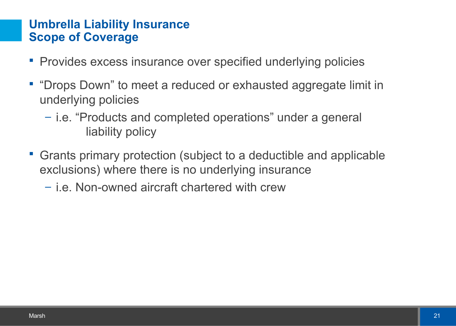# **Umbrella Liability Insurance Scope of Coverage**

- **Provides excess insurance over specified underlying policies**
- "Drops Down" to meet a reduced or exhausted aggregate limit in underlying policies
	- i.e. "Products and completed operations" under a general liability policy
- Grants primary protection (subject to a deductible and applicable exclusions) where there is no underlying insurance
	- i.e. Non-owned aircraft chartered with crew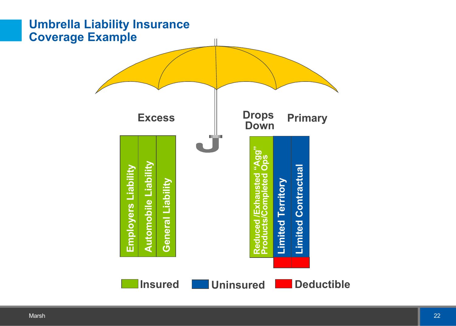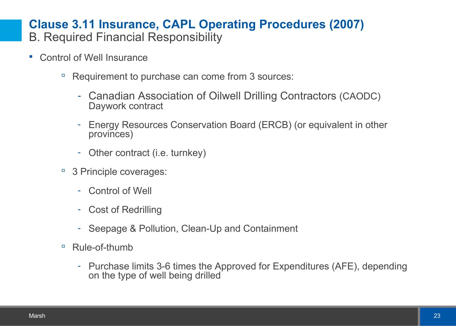# **Clause 3.11 Insurance, CAPL Operating Procedures (2007)**

- B. Required Financial Responsibility
- Control of Well Insurance
	- □ Requirement to purchase can come from 3 sources:
		- Canadian Association of Oilwell Drilling Contractors (CAODC) Daywork contract
		- Energy Resources Conservation Board (ERCB) (or equivalent in other provinces)
		- Other contract (i.e. turnkey)
	- <sup>9</sup> 3 Principle coverages:
		- Control of Well
		- Cost of Redrilling
		- Seepage & Pollution, Clean-Up and Containment
	- Rule-of-thumb
		- Purchase limits 3-6 times the Approved for Expenditures (AFE), depending on the type of well being drilled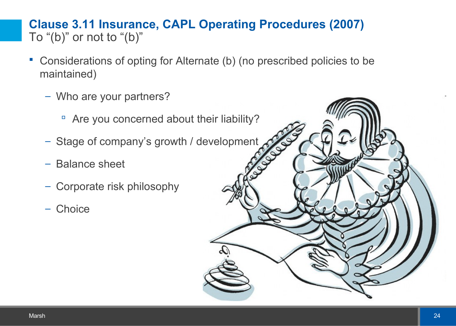# **Clause 3.11 Insurance, CAPL Operating Procedures (2007)** To " $(b)$ " or not to " $(b)$ "

- Considerations of opting for Alternate (b) (no prescribed policies to be maintained)
	- Who are your partners?
		- <sup>n</sup> Are you concerned about their liability?
	- Stage of company's growth / development
	- Balance sheet
	- Corporate risk philosophy
	- Choice

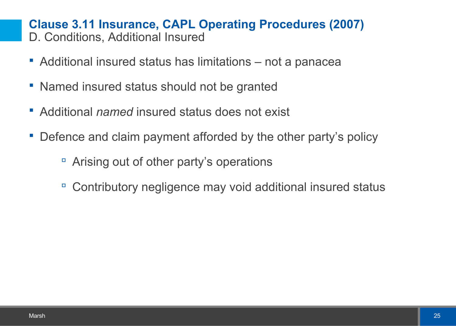#### **Clause 3.11 Insurance, CAPL Operating Procedures (2007)** D. Conditions, Additional Insured

- Additional insured status has limitations not a panacea
- **Named insured status should not be granted**
- Additional *named* insured status does not exist
- Defence and claim payment afforded by the other party's policy
	- Arising out of other party's operations
	- Contributory negligence may void additional insured status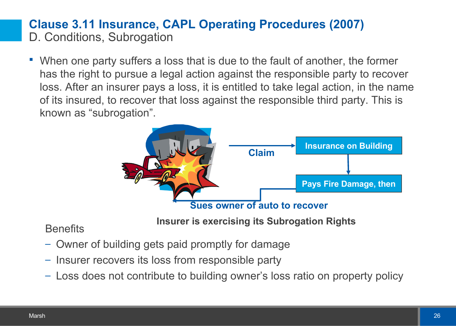# **Clause 3.11 Insurance, CAPL Operating Procedures (2007)** D. Conditions, Subrogation

 When one party suffers a loss that is due to the fault of another, the former has the right to pursue a legal action against the responsible party to recover loss. After an insurer pays a loss, it is entitled to take legal action, in the name of its insured, to recover that loss against the responsible third party. This is known as "subrogation".



**Insurer is exercising its Subrogation Rights**

**Benefits** 

- Owner of building gets paid promptly for damage
- Insurer recovers its loss from responsible party
- Loss does not contribute to building owner's loss ratio on property policy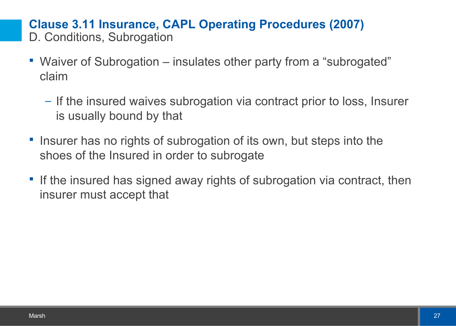**Clause 3.11 Insurance, CAPL Operating Procedures (2007)** D. Conditions, Subrogation

- Waiver of Subrogation insulates other party from a "subrogated" claim
	- If the insured waives subrogation via contract prior to loss, Insurer is usually bound by that
- **Insurer has no rights of subrogation of its own, but steps into the** shoes of the Insured in order to subrogate
- If the insured has signed away rights of subrogation via contract, then insurer must accept that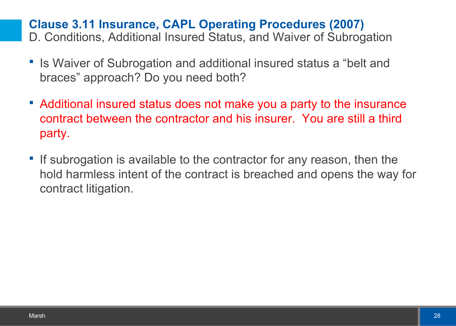# **Clause 3.11 Insurance, CAPL Operating Procedures (2007)**

D. Conditions, Additional Insured Status, and Waiver of Subrogation

- **Is Waiver of Subrogation and additional insured status a "belt and** braces" approach? Do you need both?
- Additional insured status does not make you a party to the insurance contract between the contractor and his insurer. You are still a third party.
- **If subrogation is available to the contractor for any reason, then the** hold harmless intent of the contract is breached and opens the way for contract litigation.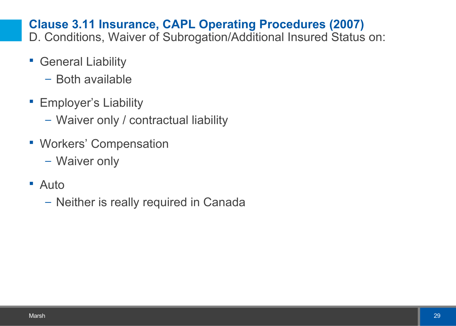# **Clause 3.11 Insurance, CAPL Operating Procedures (2007)**

D. Conditions, Waiver of Subrogation/Additional Insured Status on:

- **General Liability** 
	- Both available
- **Employer's Liability** 
	- Waiver only / contractual liability
- **Workers' Compensation** 
	- Waiver only
- Auto
	- Neither is really required in Canada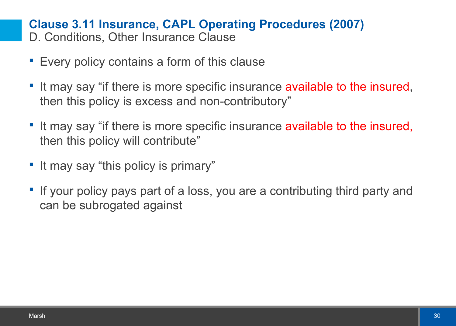#### **Clause 3.11 Insurance, CAPL Operating Procedures (2007)** D. Conditions, Other Insurance Clause

- **Every policy contains a form of this clause**
- If may say "if there is more specific insurance available to the insured, then this policy is excess and non-contributory"
- It may say "if there is more specific insurance available to the insured, then this policy will contribute"
- **If may say "this policy is primary"**
- If your policy pays part of a loss, you are a contributing third party and can be subrogated against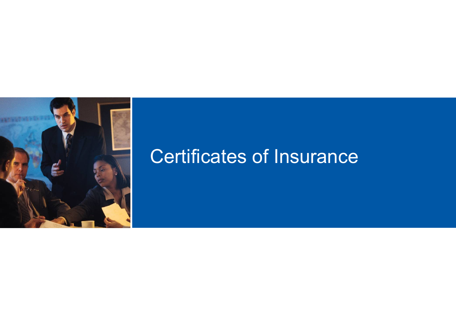

# Certificates of Insurance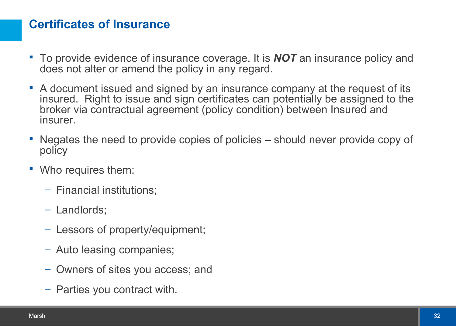# **Certificates of Insurance**

- To provide evidence of insurance coverage. It is *NOT* an insurance policy and does not alter or amend the policy in any regard.
- A document issued and signed by an insurance company at the request of its insured. Right to issue and sign certificates can potentially be assigned to the broker via contractual agreement (policy condition) between Insured and insurer.
- Negates the need to provide copies of policies should never provide copy of policy
- Who requires them:
	- Financial institutions;
	- Landlords;
	- Lessors of property/equipment;
	- Auto leasing companies;
	- Owners of sites you access; and
	- Parties you contract with.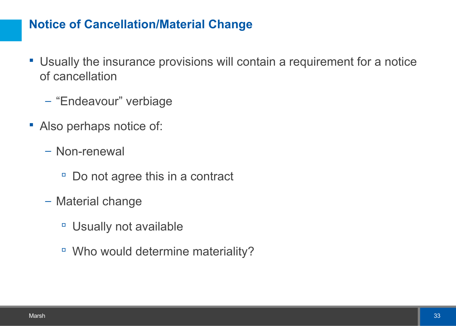# **Notice of Cancellation/Material Change**

- Usually the insurance provisions will contain a requirement for a notice of cancellation
	- "Endeavour" verbiage
- Also perhaps notice of:
	- Non-renewal
		- Do not agree this in a contract
	- Material change
		- □ Usually not available
		- Who would determine materiality?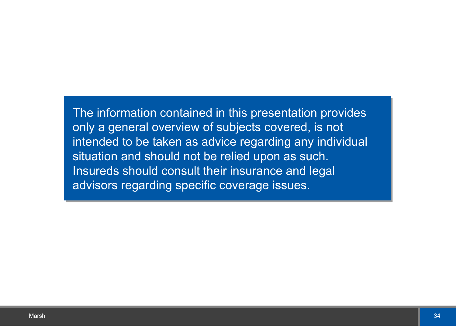The information contained in this presentation provides only a general overview of subjects covered, is not intended to be taken as advice regarding any individual situation and should not be relied upon as such. Insureds should consult their insurance and legal advisors regarding specific coverage issues.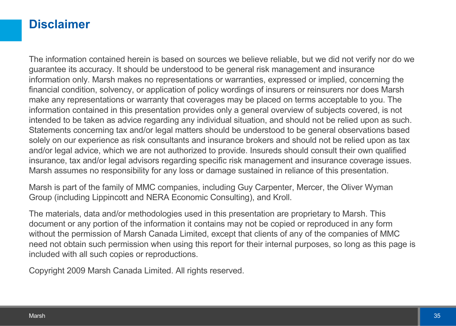#### **Disclaimer**

The information contained herein is based on sources we believe reliable, but we did not verify nor do we guarantee its accuracy. It should be understood to be general risk management and insurance information only. Marsh makes no representations or warranties, expressed or implied, concerning the financial condition, solvency, or application of policy wordings of insurers or reinsurers nor does Marsh make any representations or warranty that coverages may be placed on terms acceptable to you. The information contained in this presentation provides only a general overview of subjects covered, is not intended to be taken as advice regarding any individual situation, and should not be relied upon as such. Statements concerning tax and/or legal matters should be understood to be general observations based solely on our experience as risk consultants and insurance brokers and should not be relied upon as tax and/or legal advice, which we are not authorized to provide. Insureds should consult their own qualified insurance, tax and/or legal advisors regarding specific risk management and insurance coverage issues. Marsh assumes no responsibility for any loss or damage sustained in reliance of this presentation.

Marsh is part of the family of MMC companies, including Guy Carpenter, Mercer, the Oliver Wyman Group (including Lippincott and NERA Economic Consulting), and Kroll.

The materials, data and/or methodologies used in this presentation are proprietary to Marsh. This document or any portion of the information it contains may not be copied or reproduced in any form without the permission of Marsh Canada Limited, except that clients of any of the companies of MMC need not obtain such permission when using this report for their internal purposes, so long as this page is included with all such copies or reproductions.

Copyright 2009 Marsh Canada Limited. All rights reserved.